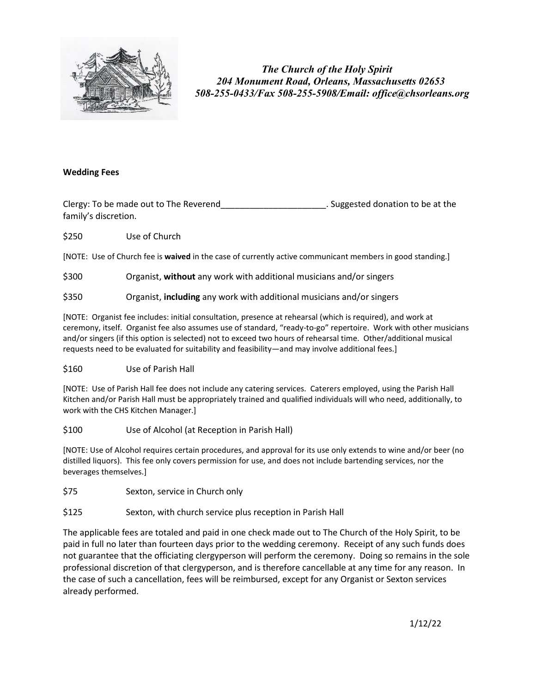

 *The Church of the Holy Spirit 204 Monument Road, Orleans, Massachusetts 02653 508-255-0433/Fax 508-255-5908/Email: office@chsorleans.org*

### **Wedding Fees**

Clergy: To be made out to The Reverend Clergy: Clergy: To be made out to The Reverend family's discretion.

\$250 Use of Church

[NOTE: Use of Church fee is **waived** in the case of currently active communicant members in good standing.]

\$300 Organist, **without** any work with additional musicians and/or singers

\$350 Organist, **including** any work with additional musicians and/or singers

[NOTE: Organist fee includes: initial consultation, presence at rehearsal (which is required), and work at ceremony, itself. Organist fee also assumes use of standard, "ready-to-go" repertoire. Work with other musicians and/or singers (if this option is selected) not to exceed two hours of rehearsal time. Other/additional musical requests need to be evaluated for suitability and feasibility—and may involve additional fees.]

#### \$160 Use of Parish Hall

[NOTE: Use of Parish Hall fee does not include any catering services. Caterers employed, using the Parish Hall Kitchen and/or Parish Hall must be appropriately trained and qualified individuals will who need, additionally, to work with the CHS Kitchen Manager.]

#### \$100 Use of Alcohol (at Reception in Parish Hall)

[NOTE: Use of Alcohol requires certain procedures, and approval for its use only extends to wine and/or beer (no distilled liquors). This fee only covers permission for use, and does not include bartending services, nor the beverages themselves.]

- \$75 Sexton, service in Church only
- \$125 Sexton, with church service plus reception in Parish Hall

The applicable fees are totaled and paid in one check made out to The Church of the Holy Spirit, to be paid in full no later than fourteen days prior to the wedding ceremony. Receipt of any such funds does not guarantee that the officiating clergyperson will perform the ceremony. Doing so remains in the sole professional discretion of that clergyperson, and is therefore cancellable at any time for any reason. In the case of such a cancellation, fees will be reimbursed, except for any Organist or Sexton services already performed.